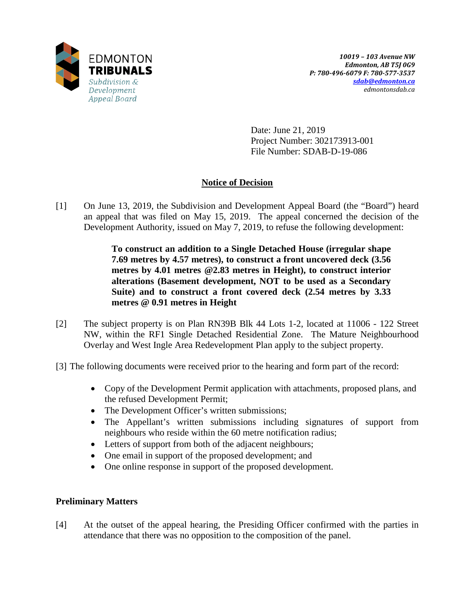

Date: June 21, 2019 Project Number: 302173913-001 File Number: SDAB-D-19-086

# **Notice of Decision**

[1] On June 13, 2019, the Subdivision and Development Appeal Board (the "Board") heard an appeal that was filed on May 15, 2019. The appeal concerned the decision of the Development Authority, issued on May 7, 2019, to refuse the following development:

> **To construct an addition to a Single Detached House (irregular shape 7.69 metres by 4.57 metres), to construct a front uncovered deck (3.56 metres by 4.01 metres @2.83 metres in Height), to construct interior alterations (Basement development, NOT to be used as a Secondary Suite) and to construct a front covered deck (2.54 metres by 3.33 metres @ 0.91 metres in Height**

- [2] The subject property is on Plan RN39B Blk 44 Lots 1-2, located at 11006 122 Street NW, within the RF1 Single Detached Residential Zone. The Mature Neighbourhood Overlay and West Ingle Area Redevelopment Plan apply to the subject property.
- [3] The following documents were received prior to the hearing and form part of the record:
	- Copy of the Development Permit application with attachments, proposed plans, and the refused Development Permit;
	- The Development Officer's written submissions;
	- The Appellant's written submissions including signatures of support from neighbours who reside within the 60 metre notification radius;
	- Letters of support from both of the adjacent neighbours;
	- One email in support of the proposed development; and
	- One online response in support of the proposed development.

## **Preliminary Matters**

[4] At the outset of the appeal hearing, the Presiding Officer confirmed with the parties in attendance that there was no opposition to the composition of the panel.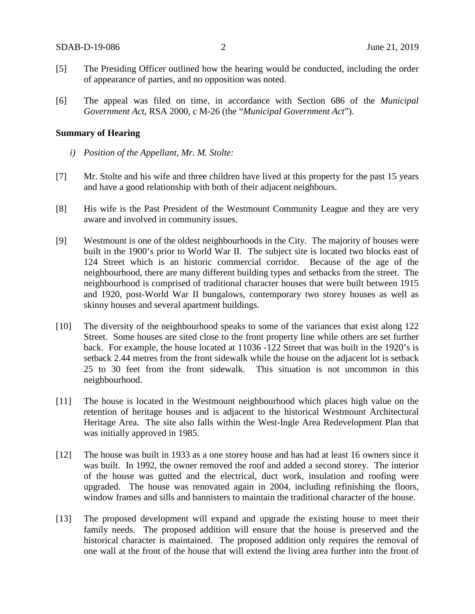- [5] The Presiding Officer outlined how the hearing would be conducted, including the order of appearance of parties, and no opposition was noted.
- [6] The appeal was filed on time, in accordance with Section 686 of the *Municipal Government Act*, RSA 2000, c M-26 (the "*Municipal Government Act*").

#### **Summary of Hearing**

- *i) Position of the Appellant, Mr. M. Stolte:*
- [7] Mr. Stolte and his wife and three children have lived at this property for the past 15 years and have a good relationship with both of their adjacent neighbours.
- [8] His wife is the Past President of the Westmount Community League and they are very aware and involved in community issues.
- [9] Westmount is one of the oldest neighbourhoods in the City. The majority of houses were built in the 1900's prior to World War II. The subject site is located two blocks east of 124 Street which is an historic commercial corridor. Because of the age of the neighbourhood, there are many different building types and setbacks from the street. The neighbourhood is comprised of traditional character houses that were built between 1915 and 1920, post-World War II bungalows, contemporary two storey houses as well as skinny houses and several apartment buildings.
- [10] The diversity of the neighbourhood speaks to some of the variances that exist along 122 Street. Some houses are sited close to the front property line while others are set further back. For example, the house located at 11036 -122 Street that was built in the 1920's is setback 2.44 metres from the front sidewalk while the house on the adjacent lot is setback 25 to 30 feet from the front sidewalk. This situation is not uncommon in this neighbourhood.
- [11] The house is located in the Westmount neighbourhood which places high value on the retention of heritage houses and is adjacent to the historical Westmount Architectural Heritage Area. The site also falls within the West-Ingle Area Redevelopment Plan that was initially approved in 1985.
- [12] The house was built in 1933 as a one storey house and has had at least 16 owners since it was built. In 1992, the owner removed the roof and added a second storey. The interior of the house was gutted and the electrical, duct work, insulation and roofing were upgraded. The house was renovated again in 2004, including refinishing the floors, window frames and sills and bannisters to maintain the traditional character of the house.
- [13] The proposed development will expand and upgrade the existing house to meet their family needs. The proposed addition will ensure that the house is preserved and the historical character is maintained. The proposed addition only requires the removal of one wall at the front of the house that will extend the living area further into the front of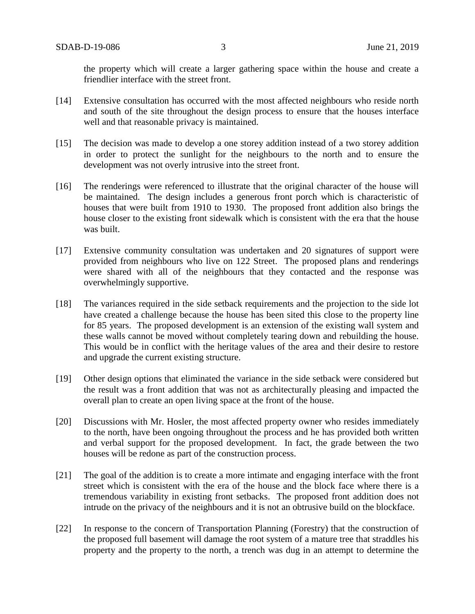the property which will create a larger gathering space within the house and create a friendlier interface with the street front.

- [14] Extensive consultation has occurred with the most affected neighbours who reside north and south of the site throughout the design process to ensure that the houses interface well and that reasonable privacy is maintained.
- [15] The decision was made to develop a one storey addition instead of a two storey addition in order to protect the sunlight for the neighbours to the north and to ensure the development was not overly intrusive into the street front.
- [16] The renderings were referenced to illustrate that the original character of the house will be maintained. The design includes a generous front porch which is characteristic of houses that were built from 1910 to 1930. The proposed front addition also brings the house closer to the existing front sidewalk which is consistent with the era that the house was built.
- [17] Extensive community consultation was undertaken and 20 signatures of support were provided from neighbours who live on 122 Street. The proposed plans and renderings were shared with all of the neighbours that they contacted and the response was overwhelmingly supportive.
- [18] The variances required in the side setback requirements and the projection to the side lot have created a challenge because the house has been sited this close to the property line for 85 years. The proposed development is an extension of the existing wall system and these walls cannot be moved without completely tearing down and rebuilding the house. This would be in conflict with the heritage values of the area and their desire to restore and upgrade the current existing structure.
- [19] Other design options that eliminated the variance in the side setback were considered but the result was a front addition that was not as architecturally pleasing and impacted the overall plan to create an open living space at the front of the house.
- [20] Discussions with Mr. Hosler, the most affected property owner who resides immediately to the north, have been ongoing throughout the process and he has provided both written and verbal support for the proposed development. In fact, the grade between the two houses will be redone as part of the construction process.
- [21] The goal of the addition is to create a more intimate and engaging interface with the front street which is consistent with the era of the house and the block face where there is a tremendous variability in existing front setbacks. The proposed front addition does not intrude on the privacy of the neighbours and it is not an obtrusive build on the blockface.
- [22] In response to the concern of Transportation Planning (Forestry) that the construction of the proposed full basement will damage the root system of a mature tree that straddles his property and the property to the north, a trench was dug in an attempt to determine the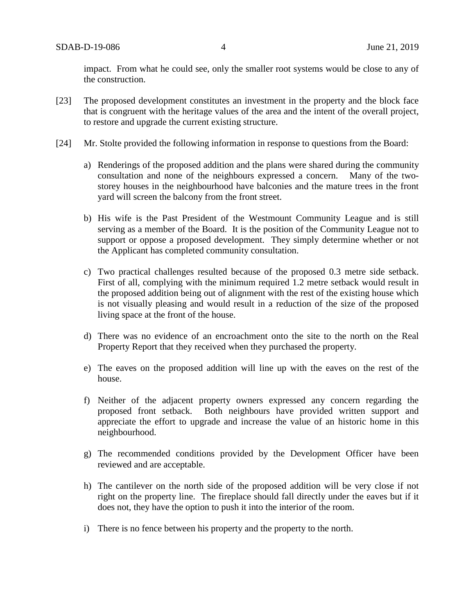impact. From what he could see, only the smaller root systems would be close to any of the construction.

- [23] The proposed development constitutes an investment in the property and the block face that is congruent with the heritage values of the area and the intent of the overall project, to restore and upgrade the current existing structure.
- [24] Mr. Stolte provided the following information in response to questions from the Board:
	- a) Renderings of the proposed addition and the plans were shared during the community consultation and none of the neighbours expressed a concern. Many of the twostorey houses in the neighbourhood have balconies and the mature trees in the front yard will screen the balcony from the front street.
	- b) His wife is the Past President of the Westmount Community League and is still serving as a member of the Board. It is the position of the Community League not to support or oppose a proposed development. They simply determine whether or not the Applicant has completed community consultation.
	- c) Two practical challenges resulted because of the proposed 0.3 metre side setback. First of all, complying with the minimum required 1.2 metre setback would result in the proposed addition being out of alignment with the rest of the existing house which is not visually pleasing and would result in a reduction of the size of the proposed living space at the front of the house.
	- d) There was no evidence of an encroachment onto the site to the north on the Real Property Report that they received when they purchased the property.
	- e) The eaves on the proposed addition will line up with the eaves on the rest of the house.
	- f) Neither of the adjacent property owners expressed any concern regarding the proposed front setback. Both neighbours have provided written support and appreciate the effort to upgrade and increase the value of an historic home in this neighbourhood.
	- g) The recommended conditions provided by the Development Officer have been reviewed and are acceptable.
	- h) The cantilever on the north side of the proposed addition will be very close if not right on the property line. The fireplace should fall directly under the eaves but if it does not, they have the option to push it into the interior of the room.
	- i) There is no fence between his property and the property to the north.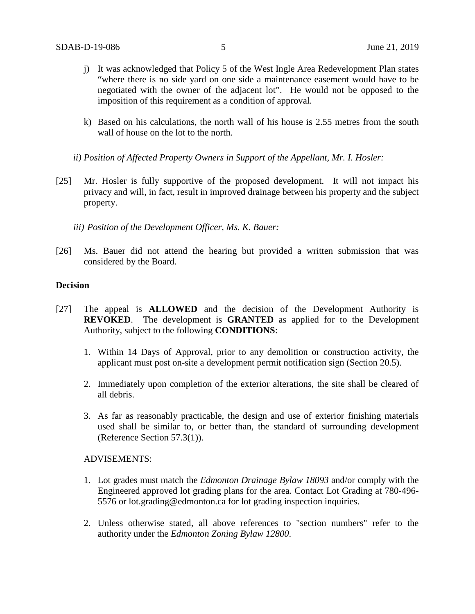- j) It was acknowledged that Policy 5 of the West Ingle Area Redevelopment Plan states "where there is no side yard on one side a maintenance easement would have to be negotiated with the owner of the adjacent lot". He would not be opposed to the imposition of this requirement as a condition of approval.
- k) Based on his calculations, the north wall of his house is 2.55 metres from the south wall of house on the lot to the north.
- *ii) Position of Affected Property Owners in Support of the Appellant, Mr. I. Hosler:*
- [25] Mr. Hosler is fully supportive of the proposed development. It will not impact his privacy and will, in fact, result in improved drainage between his property and the subject property.
	- *iii) Position of the Development Officer, Ms. K. Bauer:*
- [26] Ms. Bauer did not attend the hearing but provided a written submission that was considered by the Board.

### **Decision**

- [27] The appeal is **ALLOWED** and the decision of the Development Authority is **REVOKED**. The development is **GRANTED** as applied for to the Development Authority, subject to the following **CONDITIONS**:
	- 1. Within 14 Days of Approval, prior to any demolition or construction activity, the applicant must post on-site a development permit notification sign (Section 20.5).
	- 2. Immediately upon completion of the exterior alterations, the site shall be cleared of all debris.
	- 3. As far as reasonably practicable, the design and use of exterior finishing materials used shall be similar to, or better than, the standard of surrounding development (Reference Section 57.3(1)).

ADVISEMENTS:

- 1. Lot grades must match the *Edmonton Drainage Bylaw 18093* and/or comply with the Engineered approved lot grading plans for the area. Contact Lot Grading at 780-496- 5576 or lot.grading@edmonton.ca for lot grading inspection inquiries.
- 2. Unless otherwise stated, all above references to "section numbers" refer to the authority under the *Edmonton Zoning Bylaw 12800*.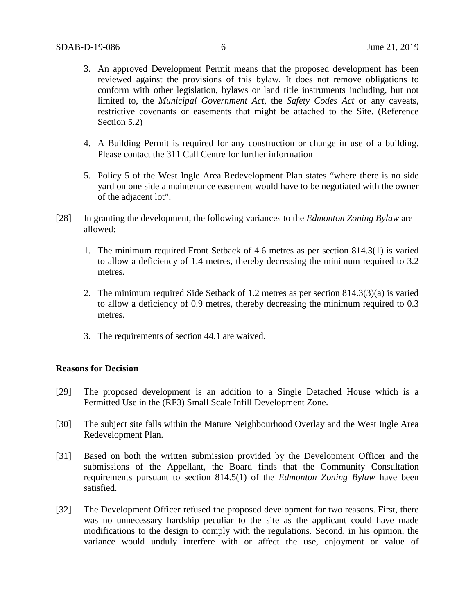- 3. An approved Development Permit means that the proposed development has been reviewed against the provisions of this bylaw. It does not remove obligations to conform with other legislation, bylaws or land title instruments including, but not limited to, the *Municipal Government Act*, the *Safety Codes Act* or any caveats, restrictive covenants or easements that might be attached to the Site. (Reference Section 5.2)
- 4. A Building Permit is required for any construction or change in use of a building. Please contact the 311 Call Centre for further information
- 5. Policy 5 of the West Ingle Area Redevelopment Plan states "where there is no side yard on one side a maintenance easement would have to be negotiated with the owner of the adjacent lot".
- [28] In granting the development, the following variances to the *Edmonton Zoning Bylaw* are allowed:
	- 1. The minimum required Front Setback of 4.6 metres as per section 814.3(1) is varied to allow a deficiency of 1.4 metres, thereby decreasing the minimum required to 3.2 metres.
	- 2. The minimum required Side Setback of 1.2 metres as per section 814.3(3)(a) is varied to allow a deficiency of 0.9 metres, thereby decreasing the minimum required to 0.3 metres.
	- 3. The requirements of section 44.1 are waived.

### **Reasons for Decision**

- [29] The proposed development is an addition to a Single Detached House which is a Permitted Use in the (RF3) Small Scale Infill Development Zone.
- [30] The subject site falls within the Mature Neighbourhood Overlay and the West Ingle Area Redevelopment Plan.
- [31] Based on both the written submission provided by the Development Officer and the submissions of the Appellant, the Board finds that the Community Consultation requirements pursuant to section 814.5(1) of the *Edmonton Zoning Bylaw* have been satisfied.
- [32] The Development Officer refused the proposed development for two reasons. First, there was no unnecessary hardship peculiar to the site as the applicant could have made modifications to the design to comply with the regulations. Second, in his opinion, the variance would unduly interfere with or affect the use, enjoyment or value of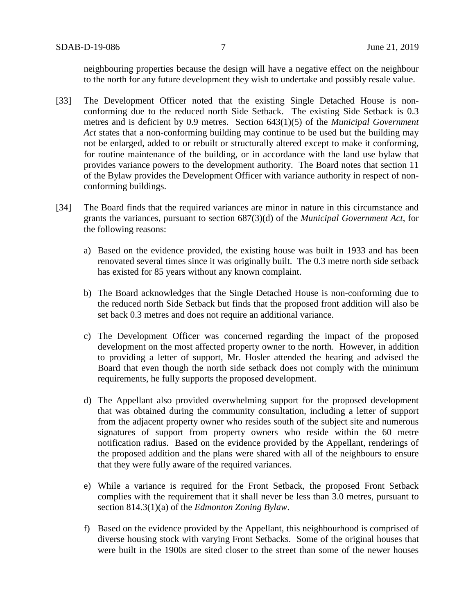neighbouring properties because the design will have a negative effect on the neighbour to the north for any future development they wish to undertake and possibly resale value.

- [33] The Development Officer noted that the existing Single Detached House is nonconforming due to the reduced north Side Setback. The existing Side Setback is 0.3 metres and is deficient by 0.9 metres. Section 643(1)(5) of the *Municipal Government Act* states that a non-conforming building may continue to be used but the building may not be enlarged, added to or rebuilt or structurally altered except to make it conforming, for routine maintenance of the building, or in accordance with the land use bylaw that provides variance powers to the development authority. The Board notes that section 11 of the Bylaw provides the Development Officer with variance authority in respect of nonconforming buildings.
- [34] The Board finds that the required variances are minor in nature in this circumstance and grants the variances, pursuant to section 687(3)(d) of the *Municipal Government Act*, for the following reasons:
	- a) Based on the evidence provided, the existing house was built in 1933 and has been renovated several times since it was originally built. The 0.3 metre north side setback has existed for 85 years without any known complaint.
	- b) The Board acknowledges that the Single Detached House is non-conforming due to the reduced north Side Setback but finds that the proposed front addition will also be set back 0.3 metres and does not require an additional variance.
	- c) The Development Officer was concerned regarding the impact of the proposed development on the most affected property owner to the north. However, in addition to providing a letter of support, Mr. Hosler attended the hearing and advised the Board that even though the north side setback does not comply with the minimum requirements, he fully supports the proposed development.
	- d) The Appellant also provided overwhelming support for the proposed development that was obtained during the community consultation, including a letter of support from the adjacent property owner who resides south of the subject site and numerous signatures of support from property owners who reside within the 60 metre notification radius. Based on the evidence provided by the Appellant, renderings of the proposed addition and the plans were shared with all of the neighbours to ensure that they were fully aware of the required variances.
	- e) While a variance is required for the Front Setback, the proposed Front Setback complies with the requirement that it shall never be less than 3.0 metres, pursuant to section 814.3(1)(a) of the *Edmonton Zoning Bylaw*.
	- f) Based on the evidence provided by the Appellant, this neighbourhood is comprised of diverse housing stock with varying Front Setbacks. Some of the original houses that were built in the 1900s are sited closer to the street than some of the newer houses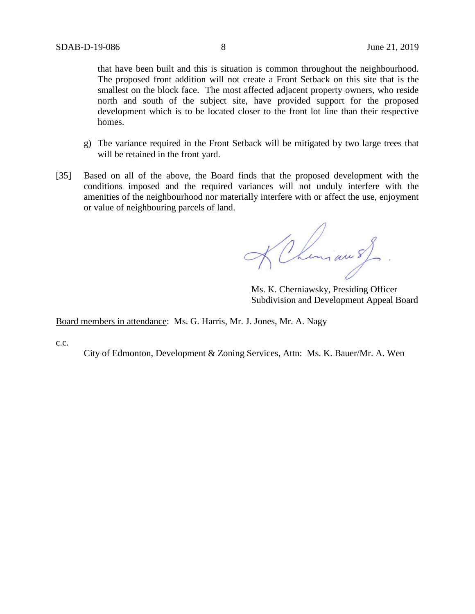that have been built and this is situation is common throughout the neighbourhood. The proposed front addition will not create a Front Setback on this site that is the smallest on the block face. The most affected adjacent property owners, who reside north and south of the subject site, have provided support for the proposed development which is to be located closer to the front lot line than their respective homes.

- g) The variance required in the Front Setback will be mitigated by two large trees that will be retained in the front yard.
- [35] Based on all of the above, the Board finds that the proposed development with the conditions imposed and the required variances will not unduly interfere with the amenities of the neighbourhood nor materially interfere with or affect the use, enjoyment or value of neighbouring parcels of land.

KChiman of

Ms. K. Cherniawsky, Presiding Officer Subdivision and Development Appeal Board

Board members in attendance: Ms. G. Harris, Mr. J. Jones, Mr. A. Nagy

c.c.

City of Edmonton, Development & Zoning Services, Attn: Ms. K. Bauer/Mr. A. Wen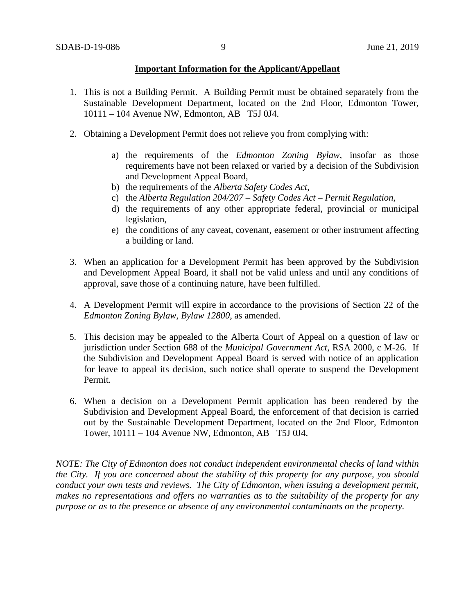## **Important Information for the Applicant/Appellant**

- 1. This is not a Building Permit. A Building Permit must be obtained separately from the Sustainable Development Department, located on the 2nd Floor, Edmonton Tower, 10111 – 104 Avenue NW, Edmonton, AB T5J 0J4.
- 2. Obtaining a Development Permit does not relieve you from complying with:
	- a) the requirements of the *Edmonton Zoning Bylaw*, insofar as those requirements have not been relaxed or varied by a decision of the Subdivision and Development Appeal Board,
	- b) the requirements of the *Alberta Safety Codes Act*,
	- c) the *Alberta Regulation 204/207 – Safety Codes Act – Permit Regulation*,
	- d) the requirements of any other appropriate federal, provincial or municipal legislation,
	- e) the conditions of any caveat, covenant, easement or other instrument affecting a building or land.
- 3. When an application for a Development Permit has been approved by the Subdivision and Development Appeal Board, it shall not be valid unless and until any conditions of approval, save those of a continuing nature, have been fulfilled.
- 4. A Development Permit will expire in accordance to the provisions of Section 22 of the *Edmonton Zoning Bylaw, Bylaw 12800*, as amended.
- 5. This decision may be appealed to the Alberta Court of Appeal on a question of law or jurisdiction under Section 688 of the *Municipal Government Act*, RSA 2000, c M-26. If the Subdivision and Development Appeal Board is served with notice of an application for leave to appeal its decision, such notice shall operate to suspend the Development Permit.
- 6. When a decision on a Development Permit application has been rendered by the Subdivision and Development Appeal Board, the enforcement of that decision is carried out by the Sustainable Development Department, located on the 2nd Floor, Edmonton Tower, 10111 – 104 Avenue NW, Edmonton, AB T5J 0J4.

*NOTE: The City of Edmonton does not conduct independent environmental checks of land within the City. If you are concerned about the stability of this property for any purpose, you should conduct your own tests and reviews. The City of Edmonton, when issuing a development permit, makes no representations and offers no warranties as to the suitability of the property for any purpose or as to the presence or absence of any environmental contaminants on the property.*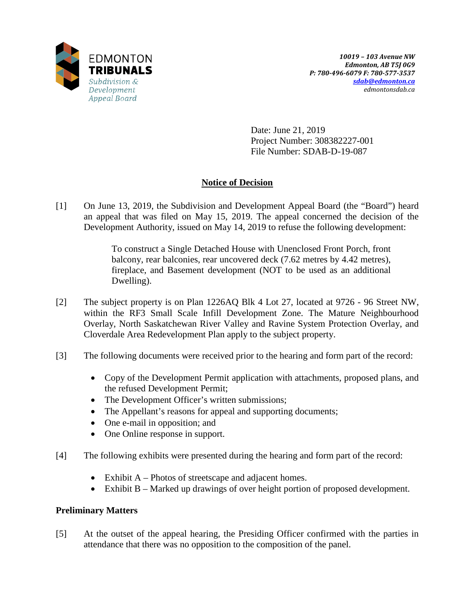

Date: June 21, 2019 Project Number: 308382227-001 File Number: SDAB-D-19-087

# **Notice of Decision**

[1] On June 13, 2019, the Subdivision and Development Appeal Board (the "Board") heard an appeal that was filed on May 15, 2019. The appeal concerned the decision of the Development Authority, issued on May 14, 2019 to refuse the following development:

> To construct a Single Detached House with Unenclosed Front Porch, front balcony, rear balconies, rear uncovered deck (7.62 metres by 4.42 metres), fireplace, and Basement development (NOT to be used as an additional Dwelling).

- [2] The subject property is on Plan 1226AQ Blk 4 Lot 27, located at 9726 96 Street NW, within the RF3 Small Scale Infill Development Zone. The Mature Neighbourhood Overlay, North Saskatchewan River Valley and Ravine System Protection Overlay, and Cloverdale Area Redevelopment Plan apply to the subject property.
- [3] The following documents were received prior to the hearing and form part of the record:
	- Copy of the Development Permit application with attachments, proposed plans, and the refused Development Permit;
	- The Development Officer's written submissions;
	- The Appellant's reasons for appeal and supporting documents;
	- One e-mail in opposition; and
	- One Online response in support.
- [4] The following exhibits were presented during the hearing and form part of the record:
	- Exhibit A Photos of streetscape and adjacent homes.
	- Exhibit B Marked up drawings of over height portion of proposed development.

## **Preliminary Matters**

[5] At the outset of the appeal hearing, the Presiding Officer confirmed with the parties in attendance that there was no opposition to the composition of the panel.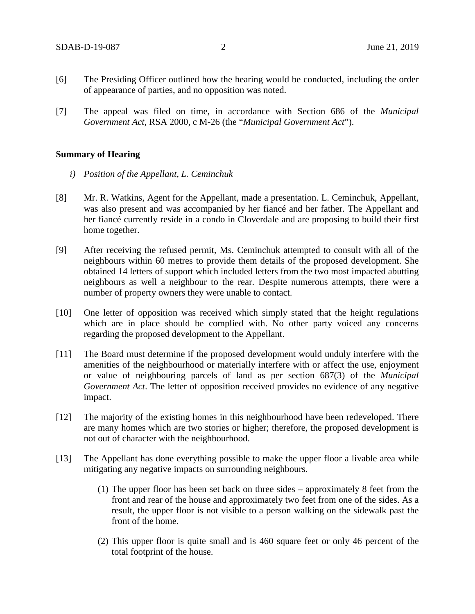- [6] The Presiding Officer outlined how the hearing would be conducted, including the order of appearance of parties, and no opposition was noted.
- [7] The appeal was filed on time, in accordance with Section 686 of the *Municipal Government Act*, RSA 2000, c M-26 (the "*Municipal Government Act*").

## **Summary of Hearing**

- *i) Position of the Appellant, L. Ceminchuk*
- [8] Mr. R. Watkins, Agent for the Appellant, made a presentation. L. Ceminchuk, Appellant, was also present and was accompanied by her fiancé and her father. The Appellant and her fiancé currently reside in a condo in Cloverdale and are proposing to build their first home together.
- [9] After receiving the refused permit, Ms. Ceminchuk attempted to consult with all of the neighbours within 60 metres to provide them details of the proposed development. She obtained 14 letters of support which included letters from the two most impacted abutting neighbours as well a neighbour to the rear. Despite numerous attempts, there were a number of property owners they were unable to contact.
- [10] One letter of opposition was received which simply stated that the height regulations which are in place should be complied with. No other party voiced any concerns regarding the proposed development to the Appellant.
- [11] The Board must determine if the proposed development would unduly interfere with the amenities of the neighbourhood or materially interfere with or affect the use, enjoyment or value of neighbouring parcels of land as per section 687(3) of the *Municipal Government Act*. The letter of opposition received provides no evidence of any negative impact.
- [12] The majority of the existing homes in this neighbourhood have been redeveloped. There are many homes which are two stories or higher; therefore, the proposed development is not out of character with the neighbourhood.
- [13] The Appellant has done everything possible to make the upper floor a livable area while mitigating any negative impacts on surrounding neighbours.
	- (1) The upper floor has been set back on three sides approximately 8 feet from the front and rear of the house and approximately two feet from one of the sides. As a result, the upper floor is not visible to a person walking on the sidewalk past the front of the home.
	- (2) This upper floor is quite small and is 460 square feet or only 46 percent of the total footprint of the house.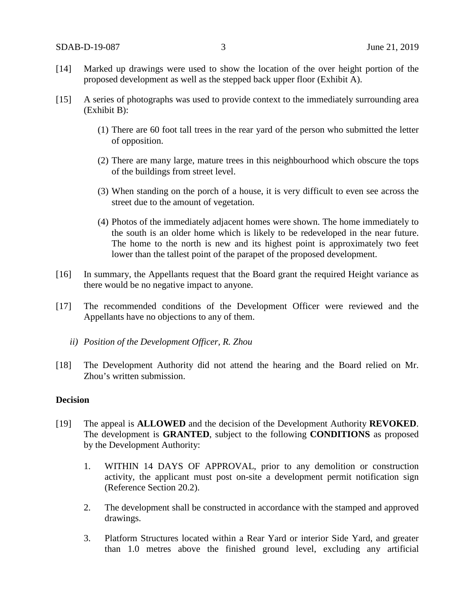- [14] Marked up drawings were used to show the location of the over height portion of the proposed development as well as the stepped back upper floor (Exhibit A).
- [15] A series of photographs was used to provide context to the immediately surrounding area (Exhibit B):
	- (1) There are 60 foot tall trees in the rear yard of the person who submitted the letter of opposition.
	- (2) There are many large, mature trees in this neighbourhood which obscure the tops of the buildings from street level.
	- (3) When standing on the porch of a house, it is very difficult to even see across the street due to the amount of vegetation.
	- (4) Photos of the immediately adjacent homes were shown. The home immediately to the south is an older home which is likely to be redeveloped in the near future. The home to the north is new and its highest point is approximately two feet lower than the tallest point of the parapet of the proposed development.
- [16] In summary, the Appellants request that the Board grant the required Height variance as there would be no negative impact to anyone.
- [17] The recommended conditions of the Development Officer were reviewed and the Appellants have no objections to any of them.
	- *ii) Position of the Development Officer, R. Zhou*
- [18] The Development Authority did not attend the hearing and the Board relied on Mr. Zhou's written submission.

### **Decision**

- [19] The appeal is **ALLOWED** and the decision of the Development Authority **REVOKED**. The development is **GRANTED**, subject to the following **CONDITIONS** as proposed by the Development Authority:
	- 1. WITHIN 14 DAYS OF APPROVAL, prior to any demolition or construction activity, the applicant must post on-site a development permit notification sign (Reference Section 20.2).
	- 2. The development shall be constructed in accordance with the stamped and approved drawings.
	- 3. Platform Structures located within a Rear Yard or interior Side Yard, and greater than 1.0 metres above the finished ground level, excluding any artificial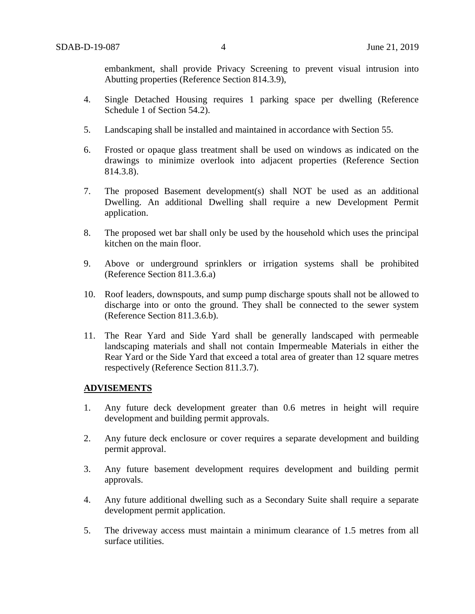embankment, shall provide Privacy Screening to prevent visual intrusion into Abutting properties (Reference Section 814.3.9),

- 4. Single Detached Housing requires 1 parking space per dwelling (Reference Schedule 1 of Section 54.2).
- 5. Landscaping shall be installed and maintained in accordance with Section 55.
- 6. Frosted or opaque glass treatment shall be used on windows as indicated on the drawings to minimize overlook into adjacent properties (Reference Section 814.3.8).
- 7. The proposed Basement development(s) shall NOT be used as an additional Dwelling. An additional Dwelling shall require a new Development Permit application.
- 8. The proposed wet bar shall only be used by the household which uses the principal kitchen on the main floor.
- 9. Above or underground sprinklers or irrigation systems shall be prohibited (Reference Section 811.3.6.a)
- 10. Roof leaders, downspouts, and sump pump discharge spouts shall not be allowed to discharge into or onto the ground. They shall be connected to the sewer system (Reference Section 811.3.6.b).
- 11. The Rear Yard and Side Yard shall be generally landscaped with permeable landscaping materials and shall not contain Impermeable Materials in either the Rear Yard or the Side Yard that exceed a total area of greater than 12 square metres respectively (Reference Section 811.3.7).

## **ADVISEMENTS**

- 1. Any future deck development greater than 0.6 metres in height will require development and building permit approvals.
- 2. Any future deck enclosure or cover requires a separate development and building permit approval.
- 3. Any future basement development requires development and building permit approvals.
- 4. Any future additional dwelling such as a Secondary Suite shall require a separate development permit application.
- 5. The driveway access must maintain a minimum clearance of 1.5 metres from all surface utilities.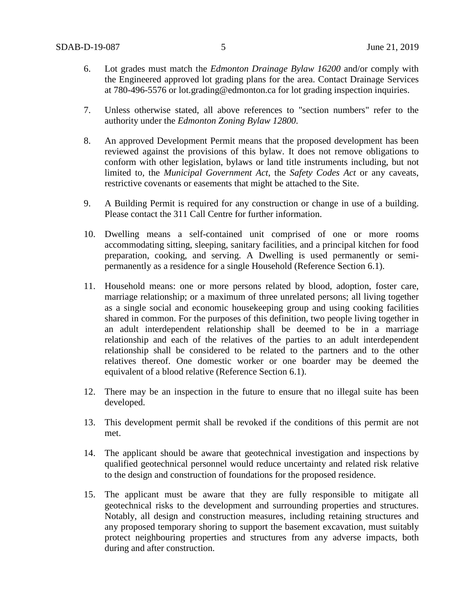- 6. Lot grades must match the *Edmonton Drainage Bylaw 16200* and/or comply with the Engineered approved lot grading plans for the area. Contact Drainage Services at 780-496-5576 or [lot.grading@edmonton.ca](mailto:lot.grading@edmonton.ca) for lot grading inspection inquiries.
- 7. Unless otherwise stated, all above references to "section numbers" refer to the authority under the *Edmonton Zoning Bylaw 12800*.
- 8. An approved Development Permit means that the proposed development has been reviewed against the provisions of this bylaw. It does not remove obligations to conform with other legislation, bylaws or land title instruments including, but not limited to, the *Municipal Government Act*, the *Safety Codes Act* or any caveats, restrictive covenants or easements that might be attached to the Site.
- 9. A Building Permit is required for any construction or change in use of a building. Please contact the 311 Call Centre for further information.
- 10. Dwelling means a self-contained unit comprised of one or more rooms accommodating sitting, sleeping, sanitary facilities, and a principal kitchen for food preparation, cooking, and serving. A Dwelling is used permanently or semipermanently as a residence for a single Household (Reference Section 6.1).
- 11. Household means: one or more persons related by blood, adoption, foster care, marriage relationship; or a maximum of three unrelated persons; all living together as a single social and economic housekeeping group and using cooking facilities shared in common. For the purposes of this definition, two people living together in an adult interdependent relationship shall be deemed to be in a marriage relationship and each of the relatives of the parties to an adult interdependent relationship shall be considered to be related to the partners and to the other relatives thereof. One domestic worker or one boarder may be deemed the equivalent of a blood relative (Reference Section 6.1).
- 12. There may be an inspection in the future to ensure that no illegal suite has been developed.
- 13. This development permit shall be revoked if the conditions of this permit are not met.
- 14. The applicant should be aware that geotechnical investigation and inspections by qualified geotechnical personnel would reduce uncertainty and related risk relative to the design and construction of foundations for the proposed residence.
- 15. The applicant must be aware that they are fully responsible to mitigate all geotechnical risks to the development and surrounding properties and structures. Notably, all design and construction measures, including retaining structures and any proposed temporary shoring to support the basement excavation, must suitably protect neighbouring properties and structures from any adverse impacts, both during and after construction.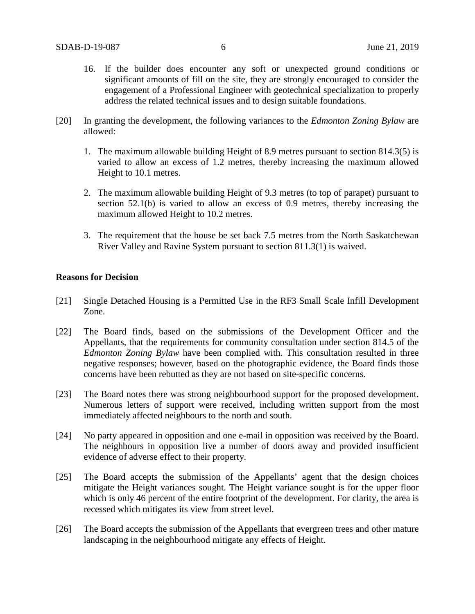- 16. If the builder does encounter any soft or unexpected ground conditions or significant amounts of fill on the site, they are strongly encouraged to consider the engagement of a Professional Engineer with geotechnical specialization to properly address the related technical issues and to design suitable foundations.
- [20] In granting the development, the following variances to the *Edmonton Zoning Bylaw* are allowed:
	- 1. The maximum allowable building Height of 8.9 metres pursuant to section 814.3(5) is varied to allow an excess of 1.2 metres, thereby increasing the maximum allowed Height to 10.1 metres.
	- 2. The maximum allowable building Height of 9.3 metres (to top of parapet) pursuant to section 52.1(b) is varied to allow an excess of 0.9 metres, thereby increasing the maximum allowed Height to 10.2 metres.
	- 3. The requirement that the house be set back 7.5 metres from the North Saskatchewan River Valley and Ravine System pursuant to section 811.3(1) is waived.

## **Reasons for Decision**

- [21] Single Detached Housing is a Permitted Use in the RF3 Small Scale Infill Development Zone.
- [22] The Board finds, based on the submissions of the Development Officer and the Appellants, that the requirements for community consultation under section 814.5 of the *Edmonton Zoning Bylaw* have been complied with. This consultation resulted in three negative responses; however, based on the photographic evidence, the Board finds those concerns have been rebutted as they are not based on site-specific concerns.
- [23] The Board notes there was strong neighbourhood support for the proposed development. Numerous letters of support were received, including written support from the most immediately affected neighbours to the north and south.
- [24] No party appeared in opposition and one e-mail in opposition was received by the Board. The neighbours in opposition live a number of doors away and provided insufficient evidence of adverse effect to their property.
- [25] The Board accepts the submission of the Appellants' agent that the design choices mitigate the Height variances sought. The Height variance sought is for the upper floor which is only 46 percent of the entire footprint of the development. For clarity, the area is recessed which mitigates its view from street level.
- [26] The Board accepts the submission of the Appellants that evergreen trees and other mature landscaping in the neighbourhood mitigate any effects of Height.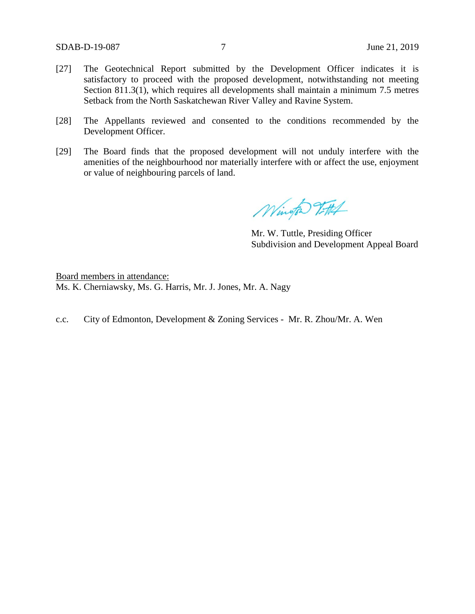- [27] The Geotechnical Report submitted by the Development Officer indicates it is satisfactory to proceed with the proposed development, notwithstanding not meeting Section 811.3(1), which requires all developments shall maintain a minimum 7.5 metres Setback from the North Saskatchewan River Valley and Ravine System.
- [28] The Appellants reviewed and consented to the conditions recommended by the Development Officer.
- [29] The Board finds that the proposed development will not unduly interfere with the amenities of the neighbourhood nor materially interfere with or affect the use, enjoyment or value of neighbouring parcels of land.

Wington T.HA

Mr. W. Tuttle, Presiding Officer Subdivision and Development Appeal Board

Board members in attendance: Ms. K. Cherniawsky, Ms. G. Harris, Mr. J. Jones, Mr. A. Nagy

c.c. City of Edmonton, Development & Zoning Services - Mr. R. Zhou/Mr. A. Wen